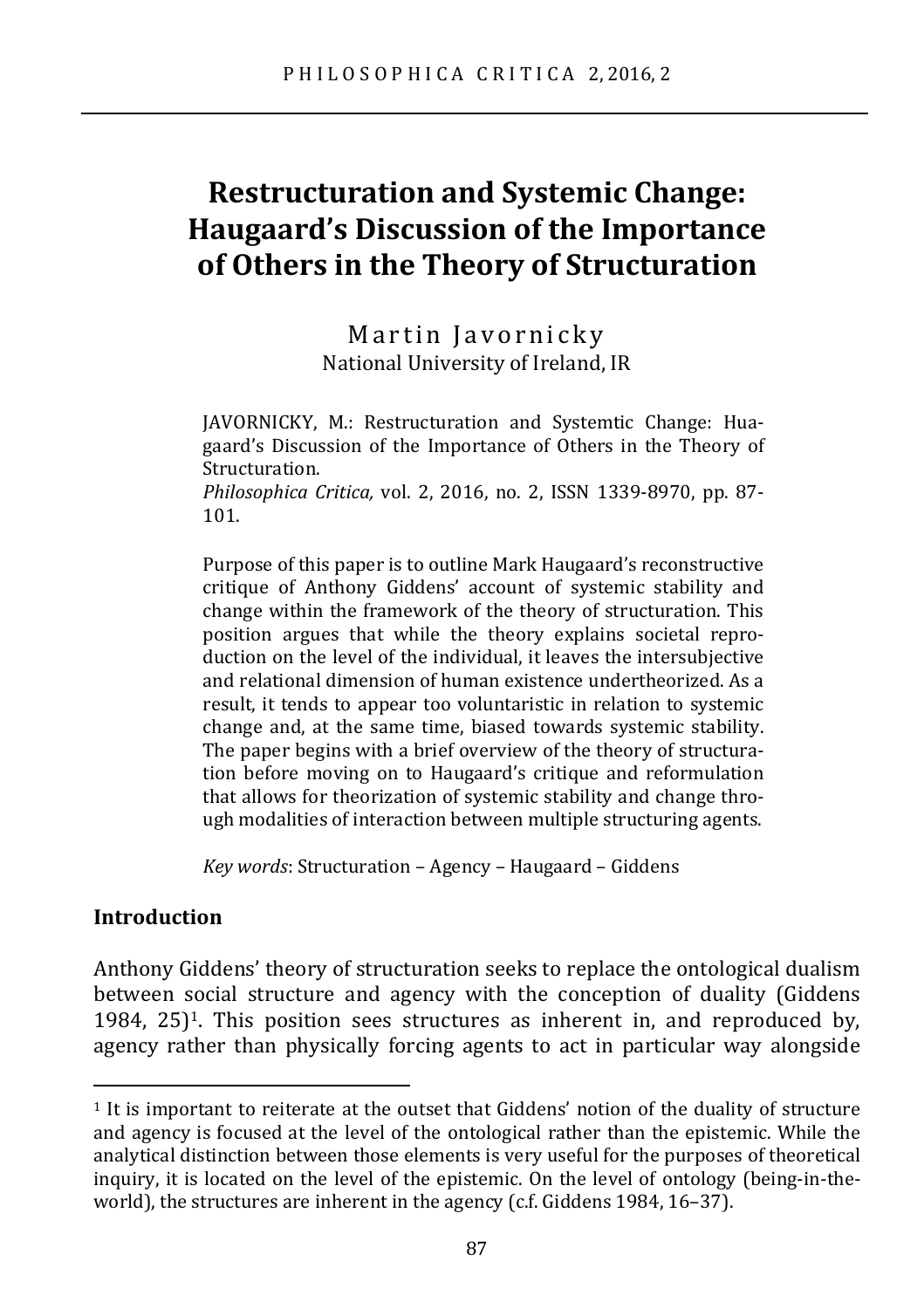# **Restructuration and Systemic Change: Haugaard's Discussion of the Importance of Others in the Theory of Structuration**

Martin Javornicky National University of Ireland, IR

JAVORNICKY, M.: Restructuration and Systemtic Change: Huagaard's Discussion of the Importance of Others in the Theory of Structuration.

*Philosophica Critica,* vol. 2, 2016, no. 2, ISSN 1339-8970, pp. 87- 101.

Purpose of this paper is to outline Mark Haugaard's reconstructive critique of Anthony Giddens' account of systemic stability and change within the framework of the theory of structuration. This position argues that while the theory explains societal reproduction on the level of the individual, it leaves the intersubjective and relational dimension of human existence undertheorized. As a result, it tends to appear too voluntaristic in relation to systemic change and, at the same time, biased towards systemic stability. The paper begins with a brief overview of the theory of structuration before moving on to Haugaard's critique and reformulation that allows for theorization of systemic stability and change through modalities of interaction between multiple structuring agents.

*Key words*: Structuration – Agency – Haugaard – Giddens

## **Introduction**

 $\overline{a}$ 

Anthony Giddens' theory of structuration seeks to replace the ontological dualism between social structure and agency with the conception of duality (Giddens 1984, 25)1. This position sees structures as inherent in, and reproduced by, agency rather than physically forcing agents to act in particular way alongside

 $1$  It is important to reiterate at the outset that Giddens' notion of the duality of structure and agency is focused at the level of the ontological rather than the epistemic. While the analytical distinction between those elements is very useful for the purposes of theoretical inquiry, it is located on the level of the epistemic. On the level of ontology (being-in-theworld), the structures are inherent in the agency (c.f. Giddens 1984, 16–37).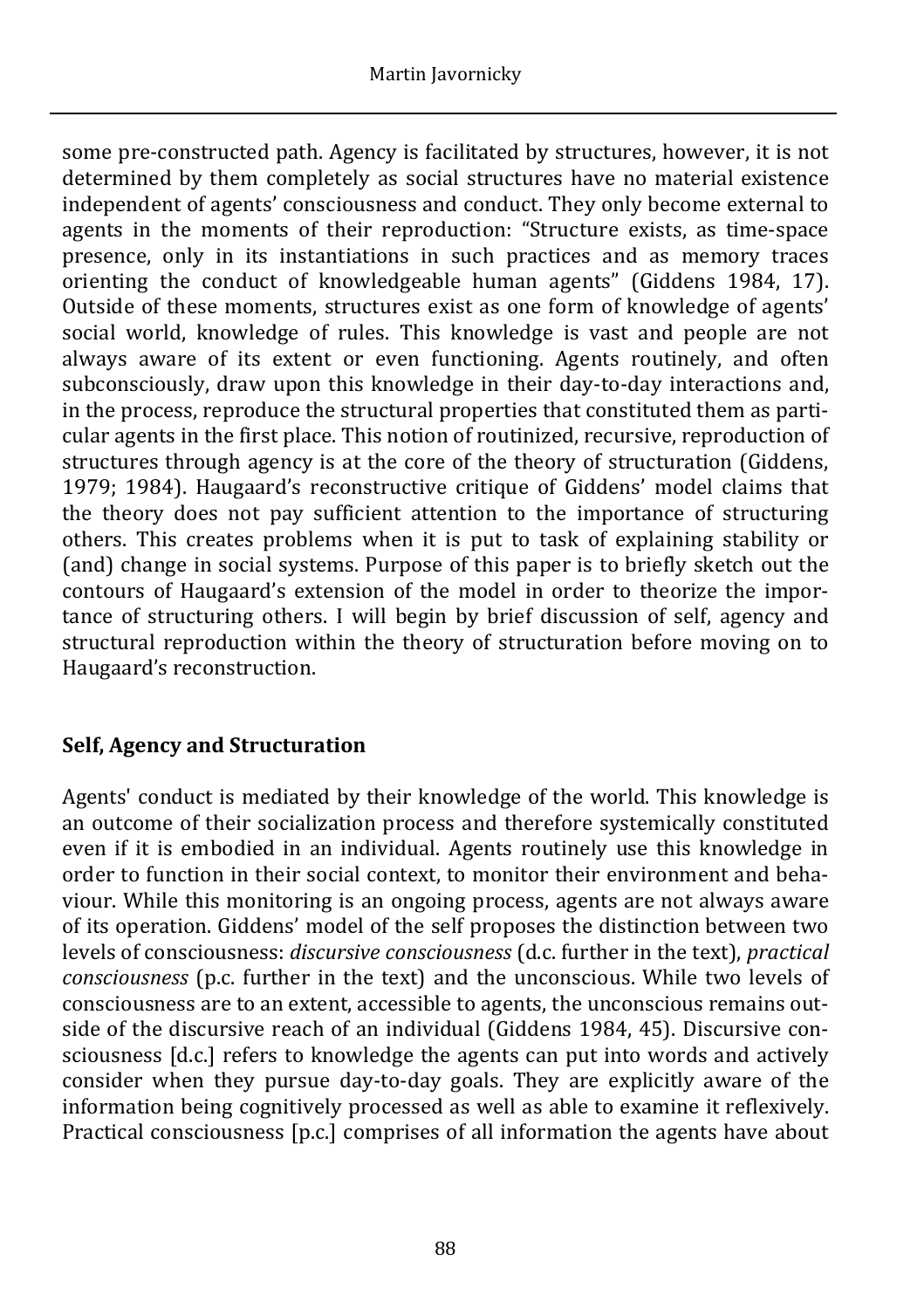some pre-constructed path. Agency is facilitated by structures, however, it is not determined by them completely as social structures have no material existence independent of agents' consciousness and conduct. They only become external to agents in the moments of their reproduction: "Structure exists, as time-space presence, only in its instantiations in such practices and as memory traces orienting the conduct of knowledgeable human agents" (Giddens 1984, 17). Outside of these moments, structures exist as one form of knowledge of agents' social world, knowledge of rules. This knowledge is vast and people are not always aware of its extent or even functioning. Agents routinely, and often subconsciously, draw upon this knowledge in their day-to-day interactions and, in the process, reproduce the structural properties that constituted them as particular agents in the first place. This notion of routinized, recursive, reproduction of structures through agency is at the core of the theory of structuration (Giddens, 1979; 1984). Haugaard's reconstructive critique of Giddens' model claims that the theory does not pay sufficient attention to the importance of structuring others. This creates problems when it is put to task of explaining stability or (and) change in social systems. Purpose of this paper is to briefly sketch out the contours of Haugaard's extension of the model in order to theorize the importance of structuring others. I will begin by brief discussion of self, agency and structural reproduction within the theory of structuration before moving on to Haugaard's reconstruction.

# **Self, Agency and Structuration**

Agents' conduct is mediated by their knowledge of the world. This knowledge is an outcome of their socialization process and therefore systemically constituted even if it is embodied in an individual. Agents routinely use this knowledge in order to function in their social context, to monitor their environment and behaviour. While this monitoring is an ongoing process, agents are not always aware of its operation. Giddens' model of the self proposes the distinction between two levels of consciousness: *discursive consciousness* (d.c. further in the text), *practical consciousness* (p.c. further in the text) and the unconscious. While two levels of consciousness are to an extent, accessible to agents, the unconscious remains outside of the discursive reach of an individual (Giddens 1984, 45). Discursive consciousness [d.c.] refers to knowledge the agents can put into words and actively consider when they pursue day-to-day goals. They are explicitly aware of the information being cognitively processed as well as able to examine it reflexively. Practical consciousness [p.c.] comprises of all information the agents have about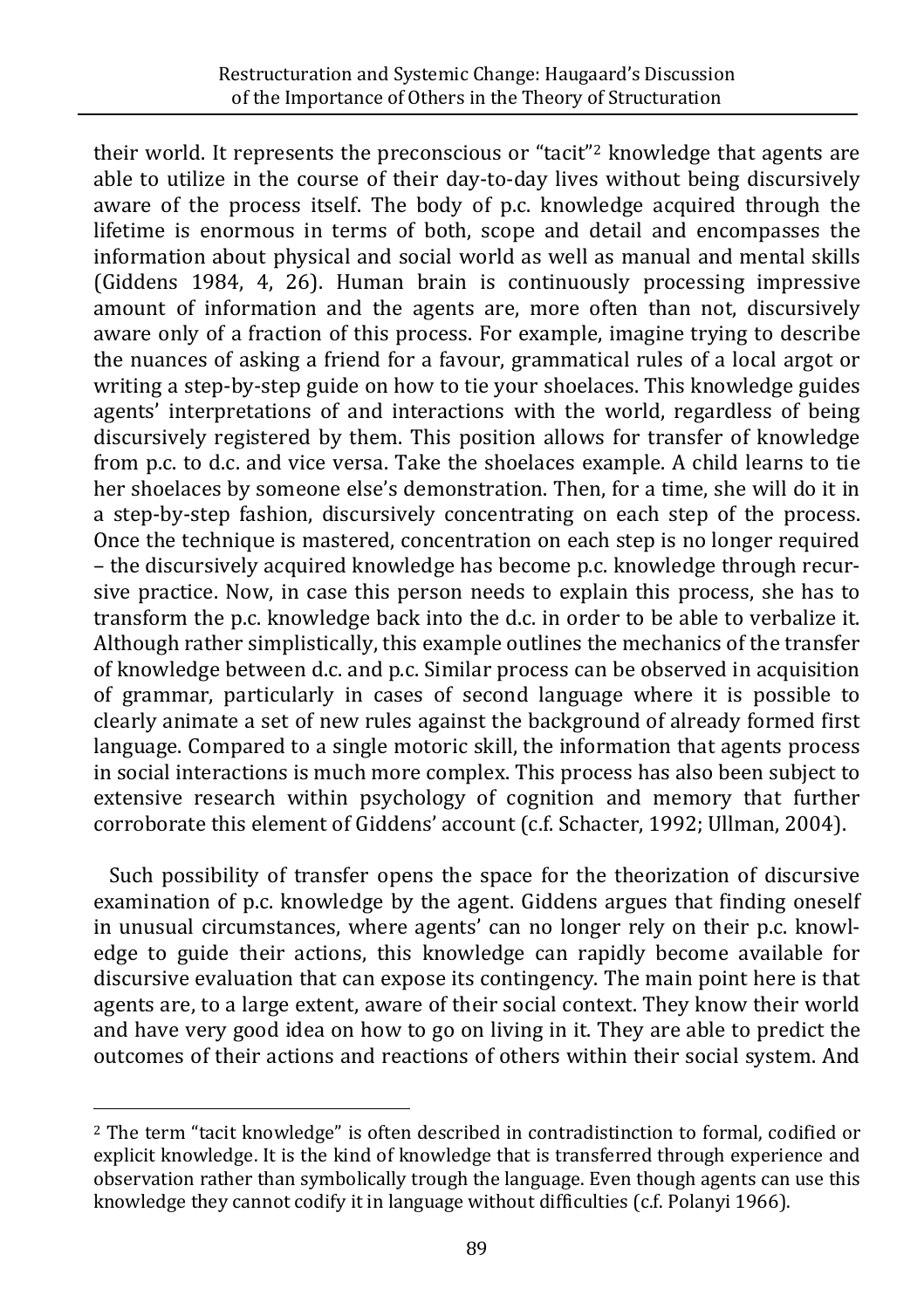their world. It represents the preconscious or "tacit"2 knowledge that agents are able to utilize in the course of their day-to-day lives without being discursively aware of the process itself. The body of p.c. knowledge acquired through the lifetime is enormous in terms of both, scope and detail and encompasses the information about physical and social world as well as manual and mental skills (Giddens 1984, 4, 26). Human brain is continuously processing impressive amount of information and the agents are, more often than not, discursively aware only of a fraction of this process. For example, imagine trying to describe the nuances of asking a friend for a favour, grammatical rules of a local argot or writing a step-by-step guide on how to tie your shoelaces. This knowledge guides agents' interpretations of and interactions with the world, regardless of being discursively registered by them. This position allows for transfer of knowledge from p.c. to d.c. and vice versa. Take the shoelaces example. A child learns to tie her shoelaces by someone else's demonstration. Then, for a time, she will do it in a step-by-step fashion, discursively concentrating on each step of the process. Once the technique is mastered, concentration on each step is no longer required – the discursively acquired knowledge has become p.c. knowledge through recursive practice. Now, in case this person needs to explain this process, she has to transform the p.c. knowledge back into the d.c. in order to be able to verbalize it. Although rather simplistically, this example outlines the mechanics of the transfer of knowledge between d.c. and p.c. Similar process can be observed in acquisition of grammar, particularly in cases of second language where it is possible to clearly animate a set of new rules against the background of already formed first language. Compared to a single motoric skill, the information that agents process in social interactions is much more complex. This process has also been subject to extensive research within psychology of cognition and memory that further corroborate this element of Giddens' account (c.f. Schacter, 1992; Ullman, 2004).

Such possibility of transfer opens the space for the theorization of discursive examination of p.c. knowledge by the agent. Giddens argues that finding oneself in unusual circumstances, where agents' can no longer rely on their p.c. knowledge to guide their actions, this knowledge can rapidly become available for discursive evaluation that can expose its contingency. The main point here is that agents are, to a large extent, aware of their social context. They know their world and have very good idea on how to go on living in it. They are able to predict the outcomes of their actions and reactions of others within their social system. And

 $\overline{a}$ <sup>2</sup> The term "tacit knowledge" is often described in contradistinction to formal, codified or explicit knowledge. It is the kind of knowledge that is transferred through experience and observation rather than symbolically trough the language. Even though agents can use this knowledge they cannot codify it in language without difficulties (c.f. Polanyi 1966).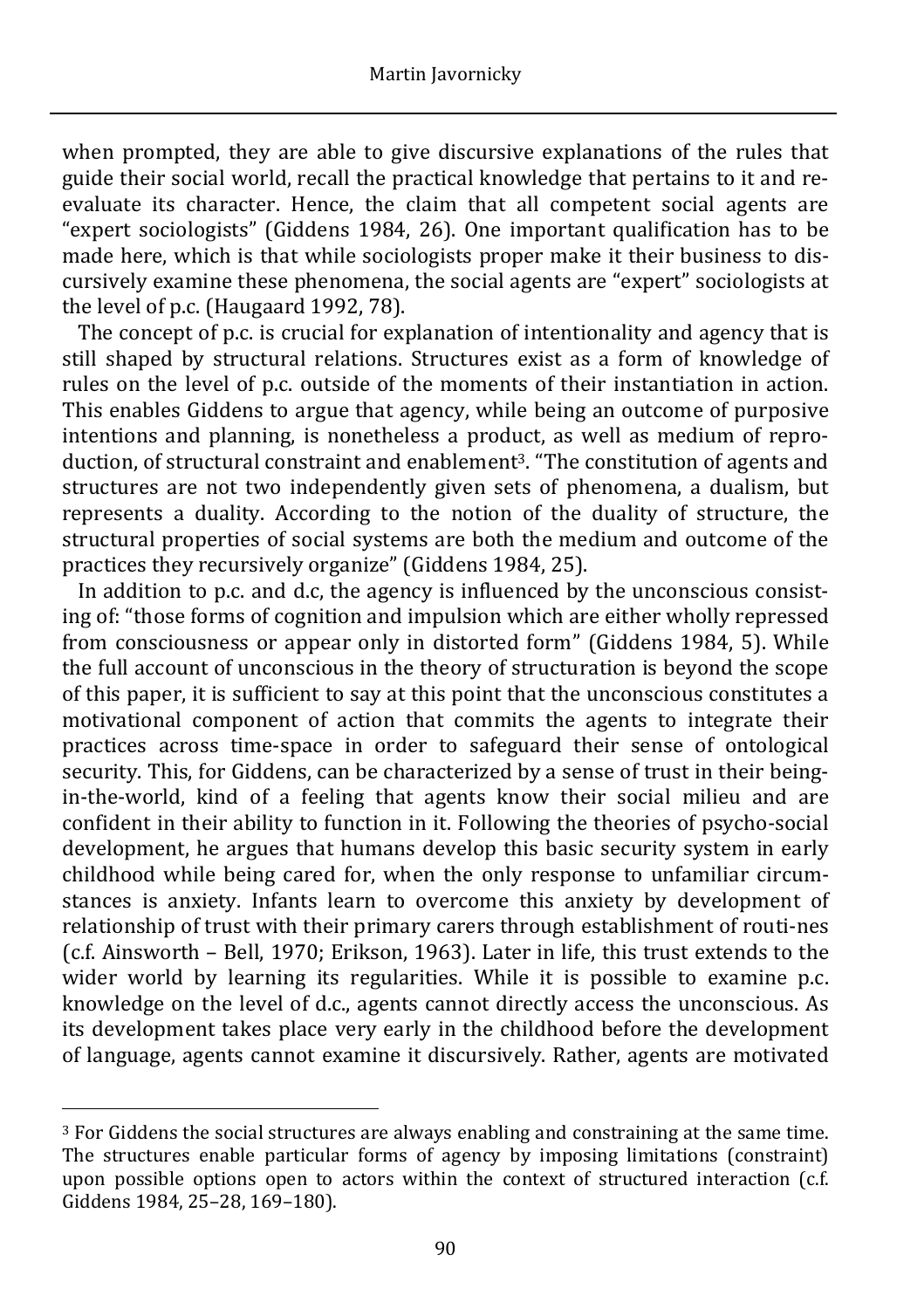when prompted, they are able to give discursive explanations of the rules that guide their social world, recall the practical knowledge that pertains to it and reevaluate its character. Hence, the claim that all competent social agents are "expert sociologists" (Giddens 1984, 26). One important qualification has to be made here, which is that while sociologists proper make it their business to discursively examine these phenomena, the social agents are "expert" sociologists at the level of p.c. (Haugaard 1992, 78).

 The concept of p.c. is crucial for explanation of intentionality and agency that is still shaped by structural relations. Structures exist as a form of knowledge of rules on the level of p.c. outside of the moments of their instantiation in action. This enables Giddens to argue that agency, while being an outcome of purposive intentions and planning, is nonetheless a product, as well as medium of reproduction, of structural constraint and enablement<sup>3</sup>. "The constitution of agents and structures are not two independently given sets of phenomena, a dualism, but represents a duality. According to the notion of the duality of structure, the structural properties of social systems are both the medium and outcome of the practices they recursively organize" (Giddens 1984, 25).

In addition to p.c. and d.c, the agency is influenced by the unconscious consisting of: "those forms of cognition and impulsion which are either wholly repressed from consciousness or appear only in distorted form" (Giddens 1984, 5). While the full account of unconscious in the theory of structuration is beyond the scope of this paper, it is sufficient to say at this point that the unconscious constitutes a motivational component of action that commits the agents to integrate their practices across time-space in order to safeguard their sense of ontological security. This, for Giddens, can be characterized by a sense of trust in their beingin-the-world, kind of a feeling that agents know their social milieu and are confident in their ability to function in it. Following the theories of psycho-social development, he argues that humans develop this basic security system in early childhood while being cared for, when the only response to unfamiliar circumstances is anxiety. Infants learn to overcome this anxiety by development of relationship of trust with their primary carers through establishment of routi-nes (c.f. Ainsworth – Bell, 1970; Erikson, 1963). Later in life, this trust extends to the wider world by learning its regularities. While it is possible to examine p.c. knowledge on the level of d.c., agents cannot directly access the unconscious. As its development takes place very early in the childhood before the development of language, agents cannot examine it discursively. Rather, agents are motivated

 $\overline{a}$ 

<sup>3</sup> For Giddens the social structures are always enabling and constraining at the same time. The structures enable particular forms of agency by imposing limitations (constraint) upon possible options open to actors within the context of structured interaction (c.f. Giddens 1984, 25–28, 169–180).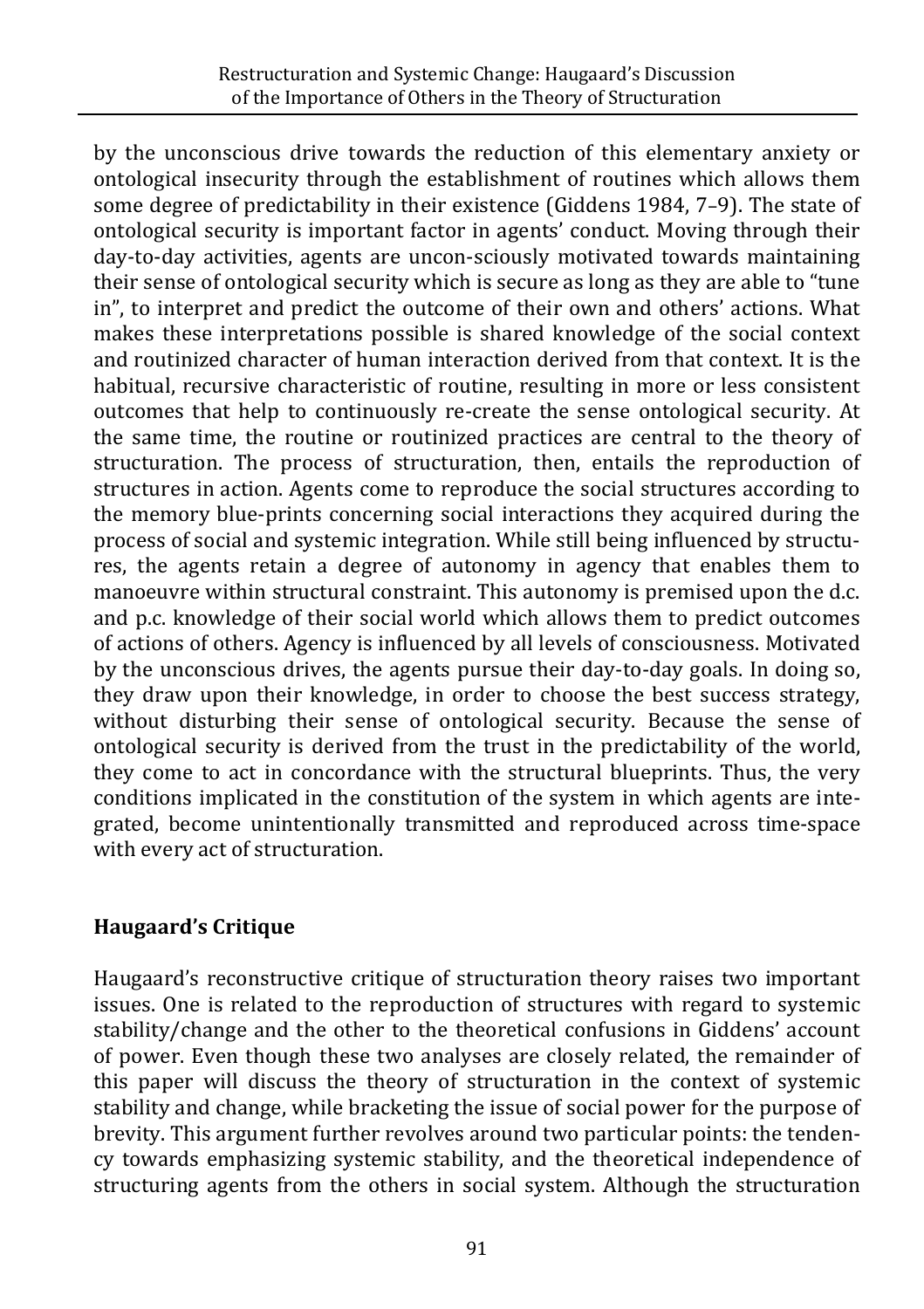by the unconscious drive towards the reduction of this elementary anxiety or ontological insecurity through the establishment of routines which allows them some degree of predictability in their existence (Giddens 1984, 7–9). The state of ontological security is important factor in agents' conduct. Moving through their day-to-day activities, agents are uncon-sciously motivated towards maintaining their sense of ontological security which is secure as long as they are able to "tune in", to interpret and predict the outcome of their own and others' actions. What makes these interpretations possible is shared knowledge of the social context and routinized character of human interaction derived from that context. It is the habitual, recursive characteristic of routine, resulting in more or less consistent outcomes that help to continuously re-create the sense ontological security. At the same time, the routine or routinized practices are central to the theory of structuration. The process of structuration, then, entails the reproduction of structures in action. Agents come to reproduce the social structures according to the memory blue-prints concerning social interactions they acquired during the process of social and systemic integration. While still being influenced by structures, the agents retain a degree of autonomy in agency that enables them to manoeuvre within structural constraint. This autonomy is premised upon the d.c. and p.c. knowledge of their social world which allows them to predict outcomes of actions of others. Agency is influenced by all levels of consciousness. Motivated by the unconscious drives, the agents pursue their day-to-day goals. In doing so, they draw upon their knowledge, in order to choose the best success strategy, without disturbing their sense of ontological security. Because the sense of ontological security is derived from the trust in the predictability of the world, they come to act in concordance with the structural blueprints. Thus, the very conditions implicated in the constitution of the system in which agents are integrated, become unintentionally transmitted and reproduced across time-space with every act of structuration.

# **Haugaard's Critique**

Haugaard's reconstructive critique of structuration theory raises two important issues. One is related to the reproduction of structures with regard to systemic stability/change and the other to the theoretical confusions in Giddens' account of power. Even though these two analyses are closely related, the remainder of this paper will discuss the theory of structuration in the context of systemic stability and change, while bracketing the issue of social power for the purpose of brevity. This argument further revolves around two particular points: the tendency towards emphasizing systemic stability, and the theoretical independence of structuring agents from the others in social system. Although the structuration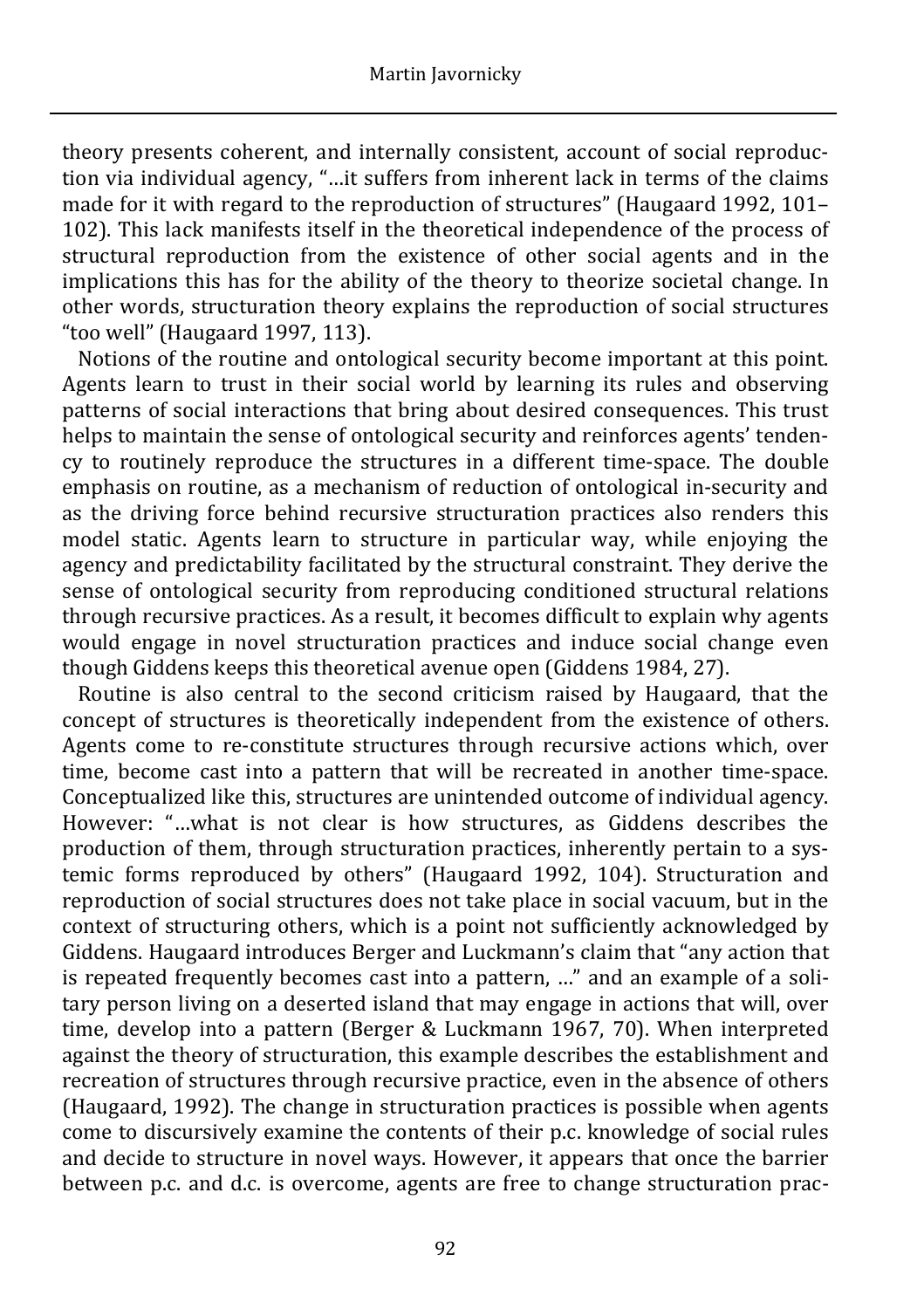theory presents coherent, and internally consistent, account of social reproduction via individual agency, "…it suffers from inherent lack in terms of the claims made for it with regard to the reproduction of structures" (Haugaard 1992, 101– 102). This lack manifests itself in the theoretical independence of the process of structural reproduction from the existence of other social agents and in the implications this has for the ability of the theory to theorize societal change. In other words, structuration theory explains the reproduction of social structures "too well" (Haugaard 1997, 113).

Notions of the routine and ontological security become important at this point. Agents learn to trust in their social world by learning its rules and observing patterns of social interactions that bring about desired consequences. This trust helps to maintain the sense of ontological security and reinforces agents' tendency to routinely reproduce the structures in a different time-space. The double emphasis on routine, as a mechanism of reduction of ontological in-security and as the driving force behind recursive structuration practices also renders this model static. Agents learn to structure in particular way, while enjoying the agency and predictability facilitated by the structural constraint. They derive the sense of ontological security from reproducing conditioned structural relations through recursive practices. As a result, it becomes difficult to explain why agents would engage in novel structuration practices and induce social change even though Giddens keeps this theoretical avenue open (Giddens 1984, 27).

Routine is also central to the second criticism raised by Haugaard, that the concept of structures is theoretically independent from the existence of others. Agents come to re-constitute structures through recursive actions which, over time, become cast into a pattern that will be recreated in another time-space. Conceptualized like this, structures are unintended outcome of individual agency. However: "…what is not clear is how structures, as Giddens describes the production of them, through structuration practices, inherently pertain to a systemic forms reproduced by others" (Haugaard 1992, 104). Structuration and reproduction of social structures does not take place in social vacuum, but in the context of structuring others, which is a point not sufficiently acknowledged by Giddens. Haugaard introduces Berger and Luckmann's claim that "any action that is repeated frequently becomes cast into a pattern, …" and an example of a solitary person living on a deserted island that may engage in actions that will, over time, develop into a pattern (Berger & Luckmann 1967, 70). When interpreted against the theory of structuration, this example describes the establishment and recreation of structures through recursive practice, even in the absence of others (Haugaard, 1992). The change in structuration practices is possible when agents come to discursively examine the contents of their p.c. knowledge of social rules and decide to structure in novel ways. However, it appears that once the barrier between p.c. and d.c. is overcome, agents are free to change structuration prac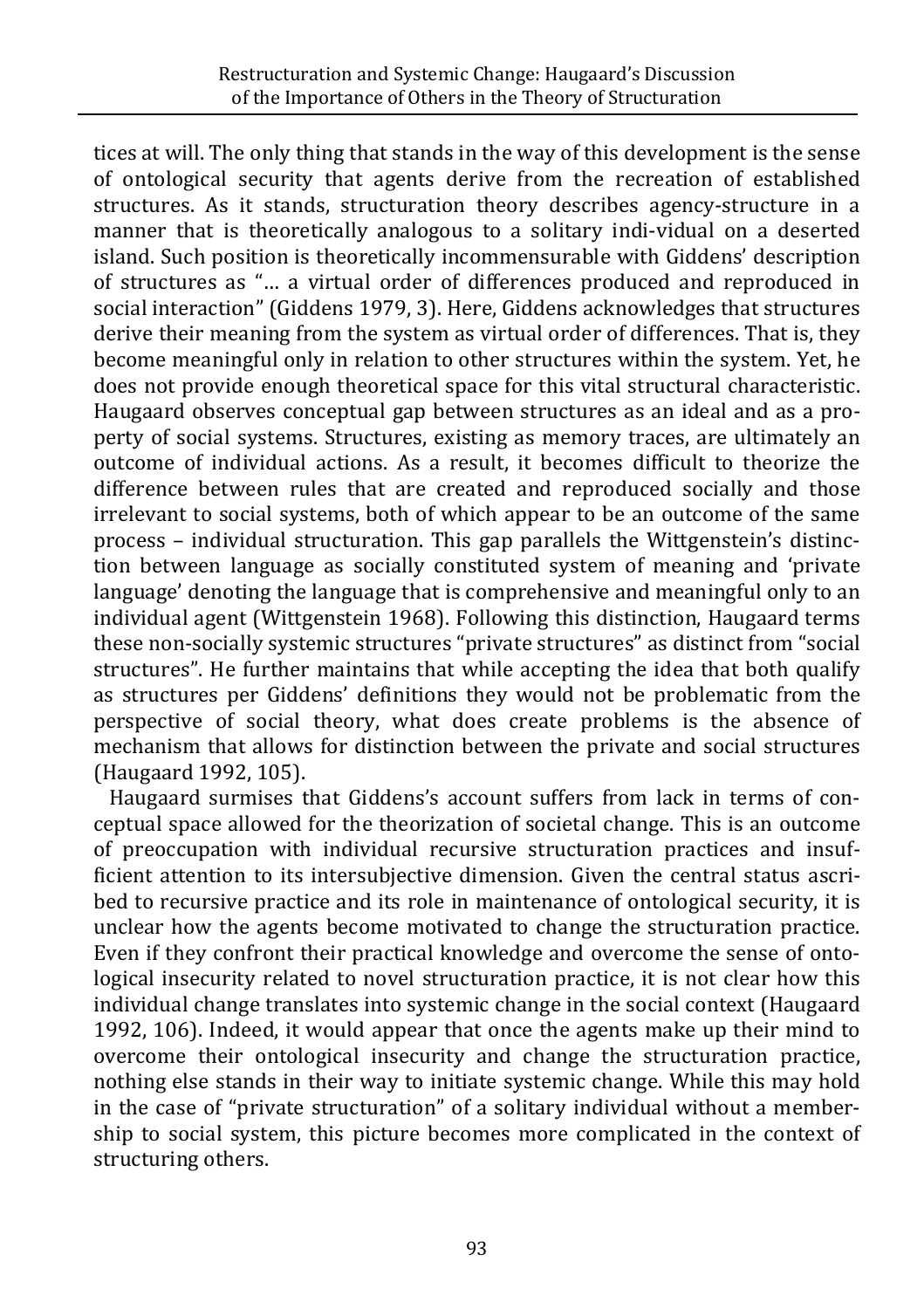tices at will. The only thing that stands in the way of this development is the sense of ontological security that agents derive from the recreation of established structures. As it stands, structuration theory describes agency-structure in a manner that is theoretically analogous to a solitary indi-vidual on a deserted island. Such position is theoretically incommensurable with Giddens' description of structures as "… a virtual order of differences produced and reproduced in social interaction" (Giddens 1979, 3). Here, Giddens acknowledges that structures derive their meaning from the system as virtual order of differences. That is, they become meaningful only in relation to other structures within the system. Yet, he does not provide enough theoretical space for this vital structural characteristic. Haugaard observes conceptual gap between structures as an ideal and as a property of social systems. Structures, existing as memory traces, are ultimately an outcome of individual actions. As a result, it becomes difficult to theorize the difference between rules that are created and reproduced socially and those irrelevant to social systems, both of which appear to be an outcome of the same process – individual structuration. This gap parallels the Wittgenstein's distinction between language as socially constituted system of meaning and 'private language' denoting the language that is comprehensive and meaningful only to an individual agent (Wittgenstein 1968). Following this distinction, Haugaard terms these non-socially systemic structures "private structures" as distinct from "social structures". He further maintains that while accepting the idea that both qualify as structures per Giddens' definitions they would not be problematic from the perspective of social theory, what does create problems is the absence of mechanism that allows for distinction between the private and social structures (Haugaard 1992, 105).

Haugaard surmises that Giddens's account suffers from lack in terms of conceptual space allowed for the theorization of societal change. This is an outcome of preoccupation with individual recursive structuration practices and insufficient attention to its intersubjective dimension. Given the central status ascribed to recursive practice and its role in maintenance of ontological security, it is unclear how the agents become motivated to change the structuration practice. Even if they confront their practical knowledge and overcome the sense of ontological insecurity related to novel structuration practice, it is not clear how this individual change translates into systemic change in the social context (Haugaard 1992, 106). Indeed, it would appear that once the agents make up their mind to overcome their ontological insecurity and change the structuration practice, nothing else stands in their way to initiate systemic change. While this may hold in the case of "private structuration" of a solitary individual without a membership to social system, this picture becomes more complicated in the context of structuring others.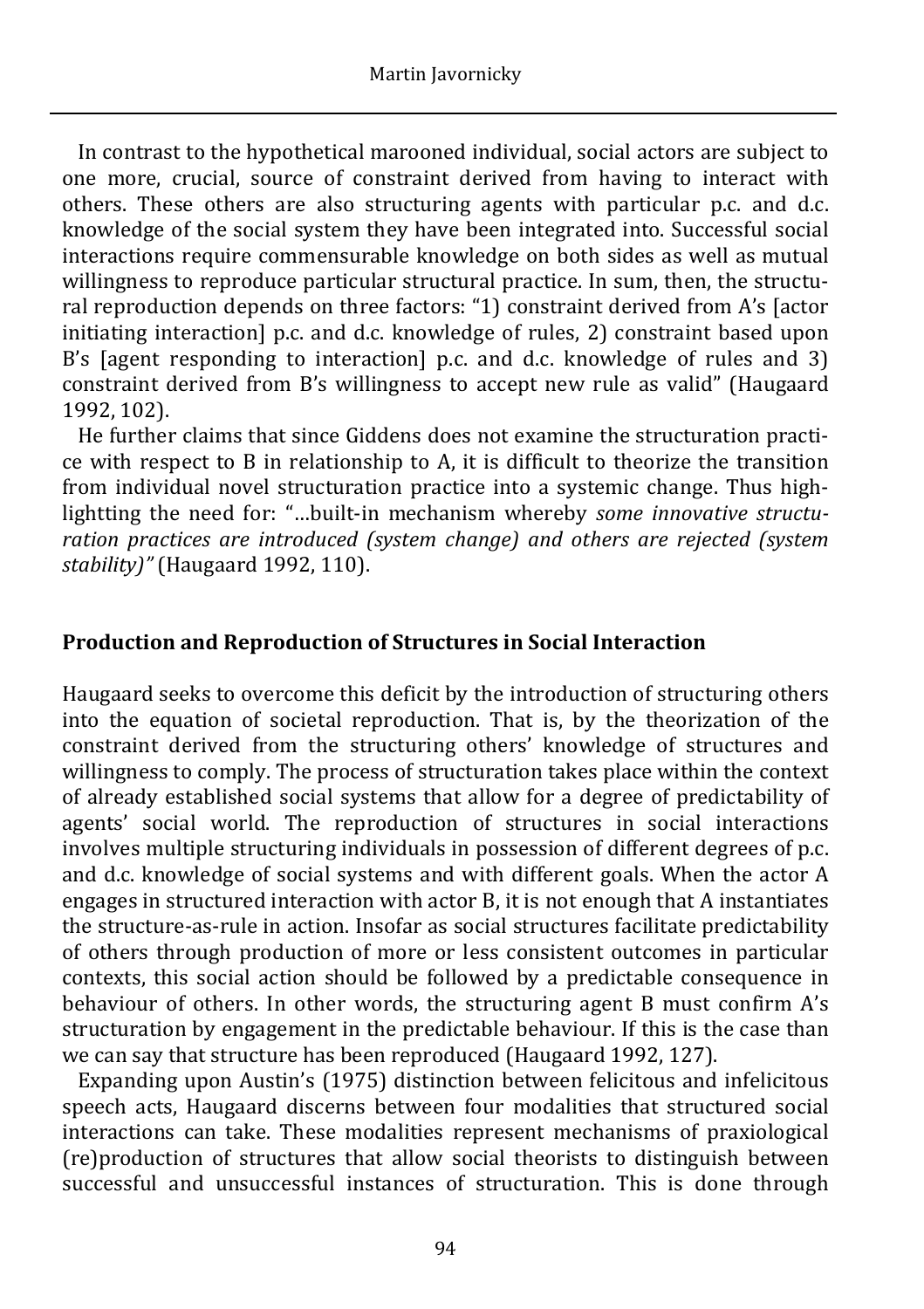In contrast to the hypothetical marooned individual, social actors are subject to one more, crucial, source of constraint derived from having to interact with others. These others are also structuring agents with particular p.c. and d.c. knowledge of the social system they have been integrated into. Successful social interactions require commensurable knowledge on both sides as well as mutual willingness to reproduce particular structural practice. In sum, then, the structural reproduction depends on three factors: "1) constraint derived from A's [actor initiating interaction] p.c. and d.c. knowledge of rules, 2) constraint based upon B's [agent responding to interaction] p.c. and d.c. knowledge of rules and 3) constraint derived from B's willingness to accept new rule as valid" (Haugaard 1992, 102).

He further claims that since Giddens does not examine the structuration practice with respect to B in relationship to A, it is difficult to theorize the transition from individual novel structuration practice into a systemic change. Thus highlightting the need for: "…built-in mechanism whereby *some innovative structuration practices are introduced (system change) and others are rejected (system stability)"* (Haugaard 1992, 110).

#### **Production and Reproduction of Structures in Social Interaction**

Haugaard seeks to overcome this deficit by the introduction of structuring others into the equation of societal reproduction. That is, by the theorization of the constraint derived from the structuring others' knowledge of structures and willingness to comply. The process of structuration takes place within the context of already established social systems that allow for a degree of predictability of agents' social world. The reproduction of structures in social interactions involves multiple structuring individuals in possession of different degrees of p.c. and d.c. knowledge of social systems and with different goals. When the actor A engages in structured interaction with actor B, it is not enough that A instantiates the structure-as-rule in action. Insofar as social structures facilitate predictability of others through production of more or less consistent outcomes in particular contexts, this social action should be followed by a predictable consequence in behaviour of others. In other words, the structuring agent B must confirm A's structuration by engagement in the predictable behaviour. If this is the case than we can say that structure has been reproduced (Haugaard 1992, 127).

Expanding upon Austin's (1975) distinction between felicitous and infelicitous speech acts, Haugaard discerns between four modalities that structured social interactions can take. These modalities represent mechanisms of praxiological (re)production of structures that allow social theorists to distinguish between successful and unsuccessful instances of structuration. This is done through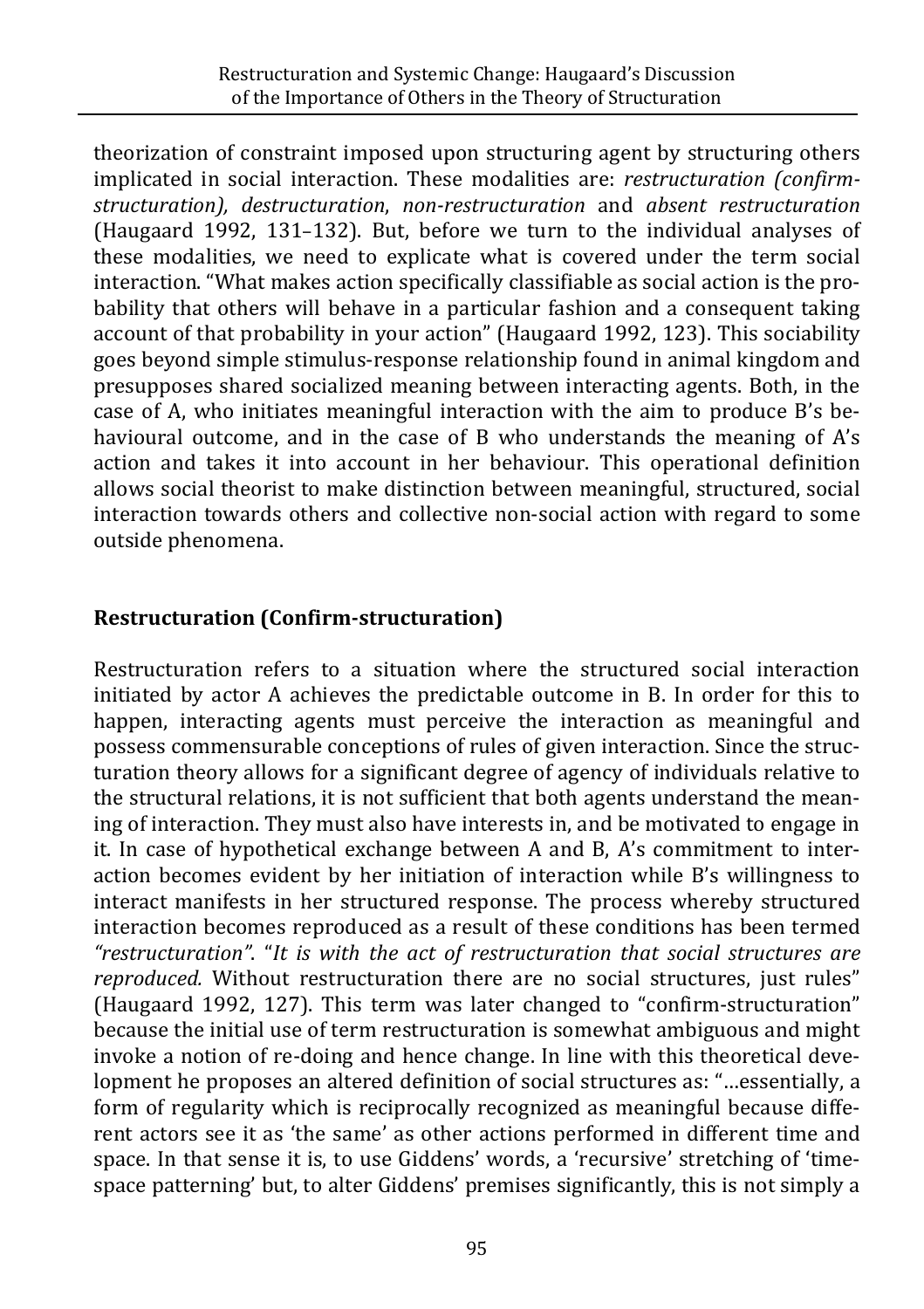theorization of constraint imposed upon structuring agent by structuring others implicated in social interaction. These modalities are: *restructuration (confirmstructuration), destructuration*, *non-restructuration* and *absent restructuration* (Haugaard 1992, 131–132). But, before we turn to the individual analyses of these modalities, we need to explicate what is covered under the term social interaction. "What makes action specifically classifiable as social action is the probability that others will behave in a particular fashion and a consequent taking account of that probability in your action" (Haugaard 1992, 123). This sociability goes beyond simple stimulus-response relationship found in animal kingdom and presupposes shared socialized meaning between interacting agents. Both, in the case of A, who initiates meaningful interaction with the aim to produce B's behavioural outcome, and in the case of B who understands the meaning of A's action and takes it into account in her behaviour. This operational definition allows social theorist to make distinction between meaningful, structured, social interaction towards others and collective non-social action with regard to some outside phenomena.

## **Restructuration (Confirm-structuration)**

Restructuration refers to a situation where the structured social interaction initiated by actor A achieves the predictable outcome in B. In order for this to happen, interacting agents must perceive the interaction as meaningful and possess commensurable conceptions of rules of given interaction. Since the structuration theory allows for a significant degree of agency of individuals relative to the structural relations, it is not sufficient that both agents understand the meaning of interaction. They must also have interests in, and be motivated to engage in it. In case of hypothetical exchange between A and B, A's commitment to interaction becomes evident by her initiation of interaction while B's willingness to interact manifests in her structured response. The process whereby structured interaction becomes reproduced as a result of these conditions has been termed *"restructuration"*. "*It is with the act of restructuration that social structures are reproduced.* Without restructuration there are no social structures, just rules" (Haugaard 1992, 127). This term was later changed to "confirm-structuration" because the initial use of term restructuration is somewhat ambiguous and might invoke a notion of re-doing and hence change. In line with this theoretical development he proposes an altered definition of social structures as: "…essentially, a form of regularity which is reciprocally recognized as meaningful because different actors see it as 'the same' as other actions performed in different time and space. In that sense it is, to use Giddens' words, a 'recursive' stretching of 'timespace patterning' but, to alter Giddens' premises significantly, this is not simply a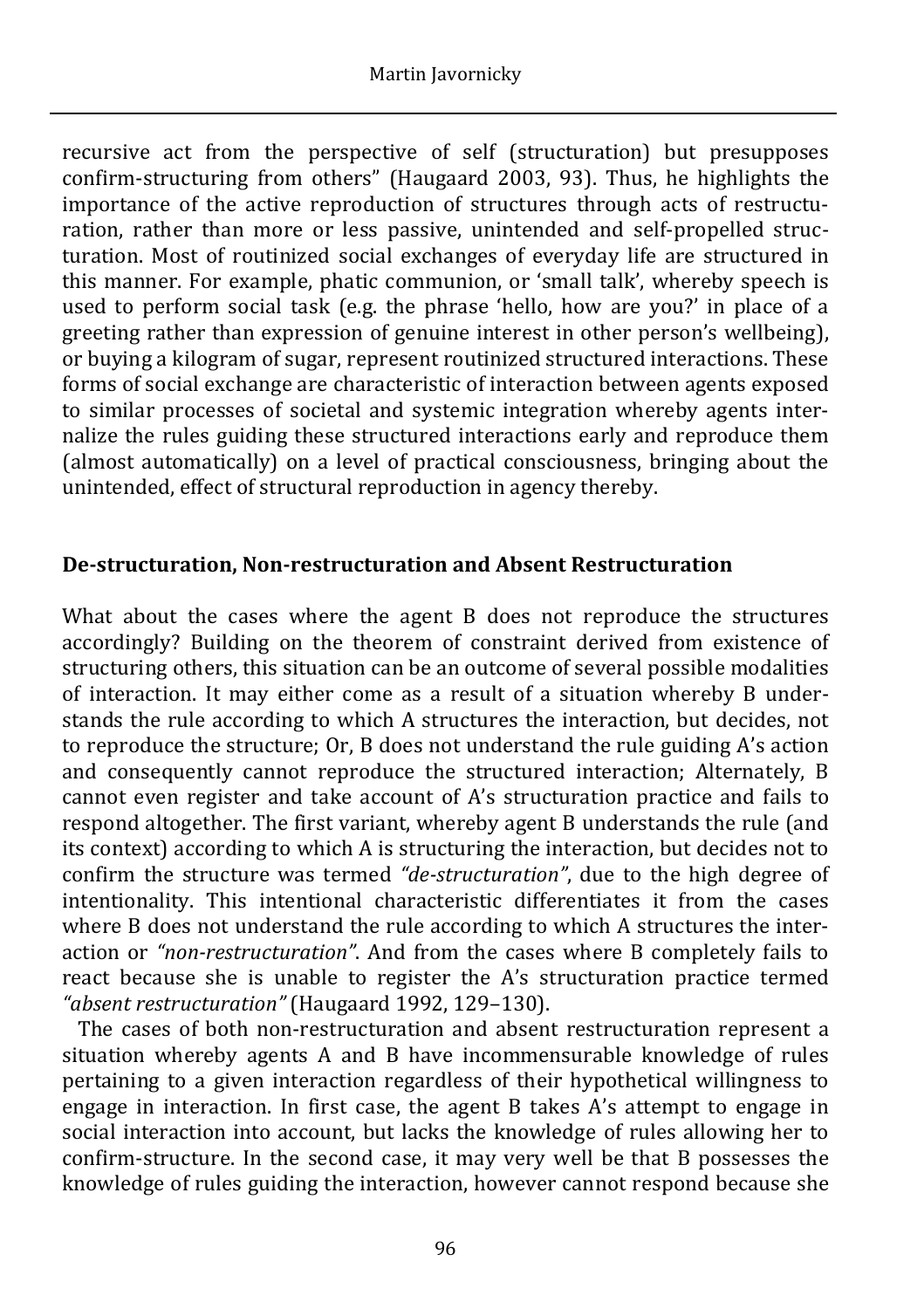recursive act from the perspective of self (structuration) but presupposes confirm-structuring from others" (Haugaard 2003, 93). Thus, he highlights the importance of the active reproduction of structures through acts of restructuration, rather than more or less passive, unintended and self-propelled structuration. Most of routinized social exchanges of everyday life are structured in this manner. For example, phatic communion, or 'small talk', whereby speech is used to perform social task (e.g. the phrase 'hello, how are you?' in place of a greeting rather than expression of genuine interest in other person's wellbeing), or buying a kilogram of sugar, represent routinized structured interactions. These forms of social exchange are characteristic of interaction between agents exposed to similar processes of societal and systemic integration whereby agents internalize the rules guiding these structured interactions early and reproduce them (almost automatically) on a level of practical consciousness, bringing about the unintended, effect of structural reproduction in agency thereby.

#### **De-structuration, Non-restructuration and Absent Restructuration**

What about the cases where the agent B does not reproduce the structures accordingly? Building on the theorem of constraint derived from existence of structuring others, this situation can be an outcome of several possible modalities of interaction. It may either come as a result of a situation whereby B understands the rule according to which A structures the interaction, but decides, not to reproduce the structure; Or, B does not understand the rule guiding A's action and consequently cannot reproduce the structured interaction; Alternately, B cannot even register and take account of A's structuration practice and fails to respond altogether. The first variant, whereby agent B understands the rule (and its context) according to which A is structuring the interaction, but decides not to confirm the structure was termed *"de-structuration"*, due to the high degree of intentionality. This intentional characteristic differentiates it from the cases where B does not understand the rule according to which A structures the interaction or *"non-restructuration"*. And from the cases where B completely fails to react because she is unable to register the A's structuration practice termed *"absent restructuration"* (Haugaard 1992, 129–130).

 The cases of both non-restructuration and absent restructuration represent a situation whereby agents A and B have incommensurable knowledge of rules pertaining to a given interaction regardless of their hypothetical willingness to engage in interaction. In first case, the agent B takes A's attempt to engage in social interaction into account, but lacks the knowledge of rules allowing her to confirm-structure. In the second case, it may very well be that B possesses the knowledge of rules guiding the interaction, however cannot respond because she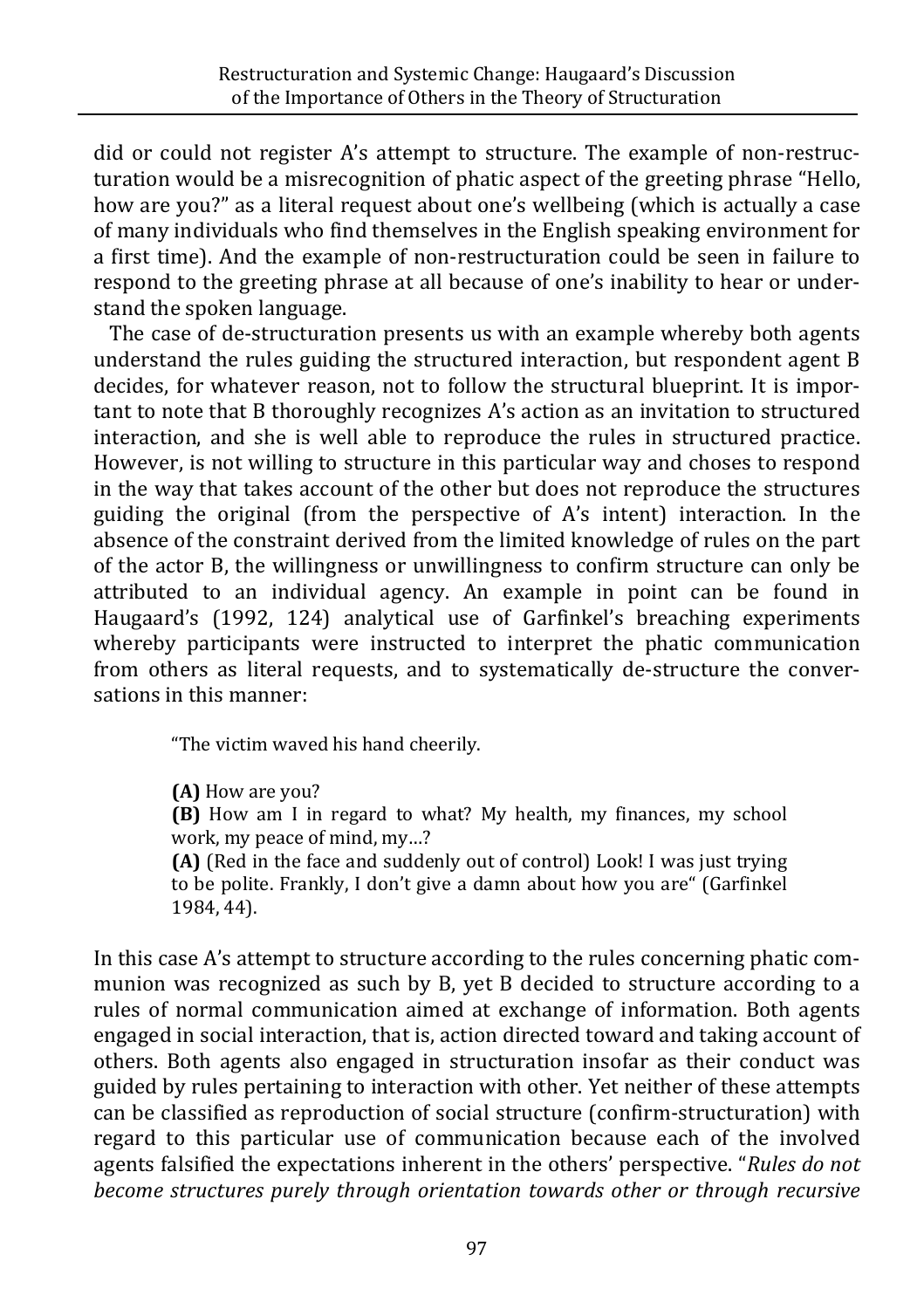did or could not register A's attempt to structure. The example of non-restructuration would be a misrecognition of phatic aspect of the greeting phrase "Hello, how are you?" as a literal request about one's wellbeing (which is actually a case of many individuals who find themselves in the English speaking environment for a first time). And the example of non-restructuration could be seen in failure to respond to the greeting phrase at all because of one's inability to hear or understand the spoken language.

The case of de-structuration presents us with an example whereby both agents understand the rules guiding the structured interaction, but respondent agent B decides, for whatever reason, not to follow the structural blueprint. It is important to note that B thoroughly recognizes A's action as an invitation to structured interaction, and she is well able to reproduce the rules in structured practice. However, is not willing to structure in this particular way and choses to respond in the way that takes account of the other but does not reproduce the structures guiding the original (from the perspective of A's intent) interaction. In the absence of the constraint derived from the limited knowledge of rules on the part of the actor B, the willingness or unwillingness to confirm structure can only be attributed to an individual agency. An example in point can be found in Haugaard's (1992, 124) analytical use of Garfinkel's breaching experiments whereby participants were instructed to interpret the phatic communication from others as literal requests, and to systematically de-structure the conversations in this manner:

"The victim waved his hand cheerily.

**(A)** How are you?

**(B)** How am I in regard to what? My health, my finances, my school work, my peace of mind, my…?

**(A)** (Red in the face and suddenly out of control) Look! I was just trying to be polite. Frankly, I don't give a damn about how you are" (Garfinkel 1984, 44).

In this case A's attempt to structure according to the rules concerning phatic communion was recognized as such by B, yet B decided to structure according to a rules of normal communication aimed at exchange of information. Both agents engaged in social interaction, that is, action directed toward and taking account of others. Both agents also engaged in structuration insofar as their conduct was guided by rules pertaining to interaction with other. Yet neither of these attempts can be classified as reproduction of social structure (confirm-structuration) with regard to this particular use of communication because each of the involved agents falsified the expectations inherent in the others' perspective. "*Rules do not become structures purely through orientation towards other or through recursive*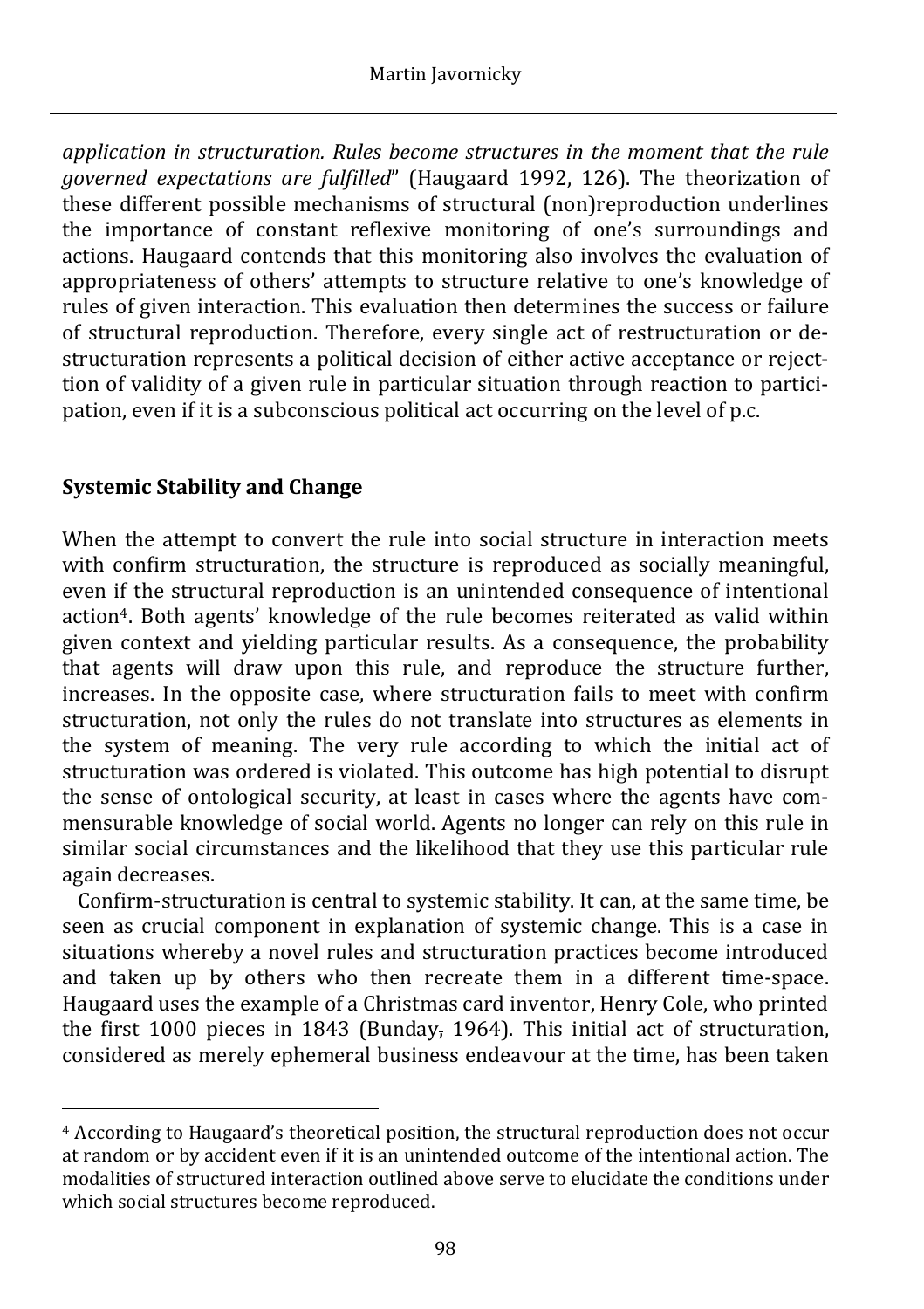*application in structuration. Rules become structures in the moment that the rule governed expectations are fulfilled*" (Haugaard 1992, 126). The theorization of these different possible mechanisms of structural (non)reproduction underlines the importance of constant reflexive monitoring of one's surroundings and actions. Haugaard contends that this monitoring also involves the evaluation of appropriateness of others' attempts to structure relative to one's knowledge of rules of given interaction. This evaluation then determines the success or failure of structural reproduction. Therefore, every single act of restructuration or destructuration represents a political decision of either active acceptance or rejecttion of validity of a given rule in particular situation through reaction to participation, even if it is a subconscious political act occurring on the level of p.c.

# **Systemic Stability and Change**

When the attempt to convert the rule into social structure in interaction meets with confirm structuration, the structure is reproduced as socially meaningful, even if the structural reproduction is an unintended consequence of intentional action4. Both agents' knowledge of the rule becomes reiterated as valid within given context and yielding particular results. As a consequence, the probability that agents will draw upon this rule, and reproduce the structure further, increases. In the opposite case, where structuration fails to meet with confirm structuration, not only the rules do not translate into structures as elements in the system of meaning. The very rule according to which the initial act of structuration was ordered is violated. This outcome has high potential to disrupt the sense of ontological security, at least in cases where the agents have commensurable knowledge of social world. Agents no longer can rely on this rule in similar social circumstances and the likelihood that they use this particular rule again decreases.

Confirm-structuration is central to systemic stability. It can, at the same time, be seen as crucial component in explanation of systemic change. This is a case in situations whereby a novel rules and structuration practices become introduced and taken up by others who then recreate them in a different time-space. Haugaard uses the example of a Christmas card inventor, Henry Cole, who printed the first 1000 pieces in 1843 (Bunday, 1964). This initial act of structuration, considered as merely ephemeral business endeavour at the time, has been taken

 $\overline{a}$ <sup>4</sup> According to Haugaard's theoretical position, the structural reproduction does not occur at random or by accident even if it is an unintended outcome of the intentional action. The modalities of structured interaction outlined above serve to elucidate the conditions under which social structures become reproduced.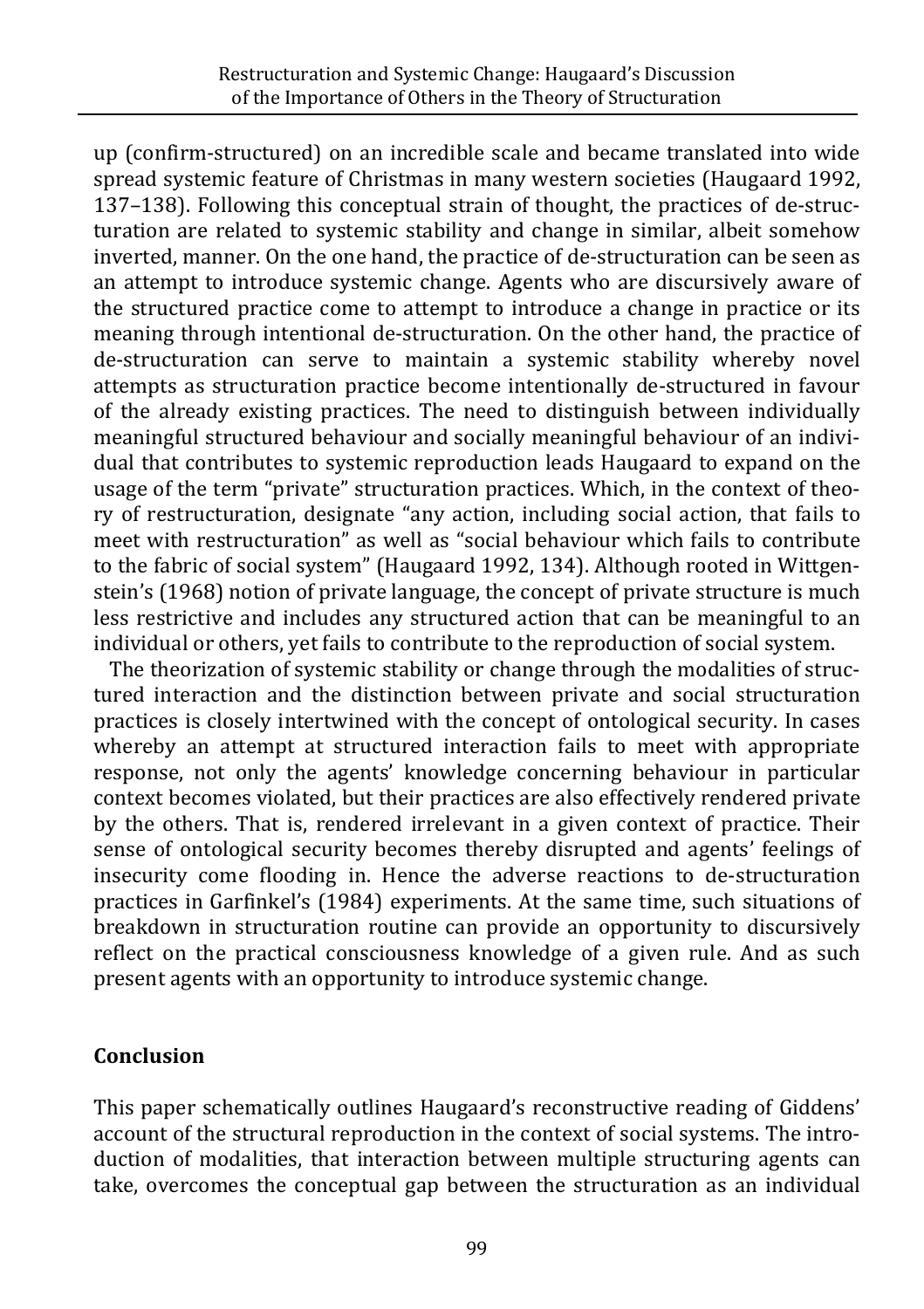up (confirm-structured) on an incredible scale and became translated into wide spread systemic feature of Christmas in many western societies (Haugaard 1992, 137–138). Following this conceptual strain of thought, the practices of de-structuration are related to systemic stability and change in similar, albeit somehow inverted, manner. On the one hand, the practice of de-structuration can be seen as an attempt to introduce systemic change. Agents who are discursively aware of the structured practice come to attempt to introduce a change in practice or its meaning through intentional de-structuration. On the other hand, the practice of de-structuration can serve to maintain a systemic stability whereby novel attempts as structuration practice become intentionally de-structured in favour of the already existing practices. The need to distinguish between individually meaningful structured behaviour and socially meaningful behaviour of an individual that contributes to systemic reproduction leads Haugaard to expand on the usage of the term "private" structuration practices. Which, in the context of theory of restructuration, designate "any action, including social action, that fails to meet with restructuration" as well as "social behaviour which fails to contribute to the fabric of social system" (Haugaard 1992, 134). Although rooted in Wittgenstein's (1968) notion of private language, the concept of private structure is much less restrictive and includes any structured action that can be meaningful to an individual or others, yet fails to contribute to the reproduction of social system.

The theorization of systemic stability or change through the modalities of structured interaction and the distinction between private and social structuration practices is closely intertwined with the concept of ontological security. In cases whereby an attempt at structured interaction fails to meet with appropriate response, not only the agents' knowledge concerning behaviour in particular context becomes violated, but their practices are also effectively rendered private by the others. That is, rendered irrelevant in a given context of practice. Their sense of ontological security becomes thereby disrupted and agents' feelings of insecurity come flooding in. Hence the adverse reactions to de-structuration practices in Garfinkel's (1984) experiments. At the same time, such situations of breakdown in structuration routine can provide an opportunity to discursively reflect on the practical consciousness knowledge of a given rule. And as such present agents with an opportunity to introduce systemic change.

## **Conclusion**

This paper schematically outlines Haugaard's reconstructive reading of Giddens' account of the structural reproduction in the context of social systems. The introduction of modalities, that interaction between multiple structuring agents can take, overcomes the conceptual gap between the structuration as an individual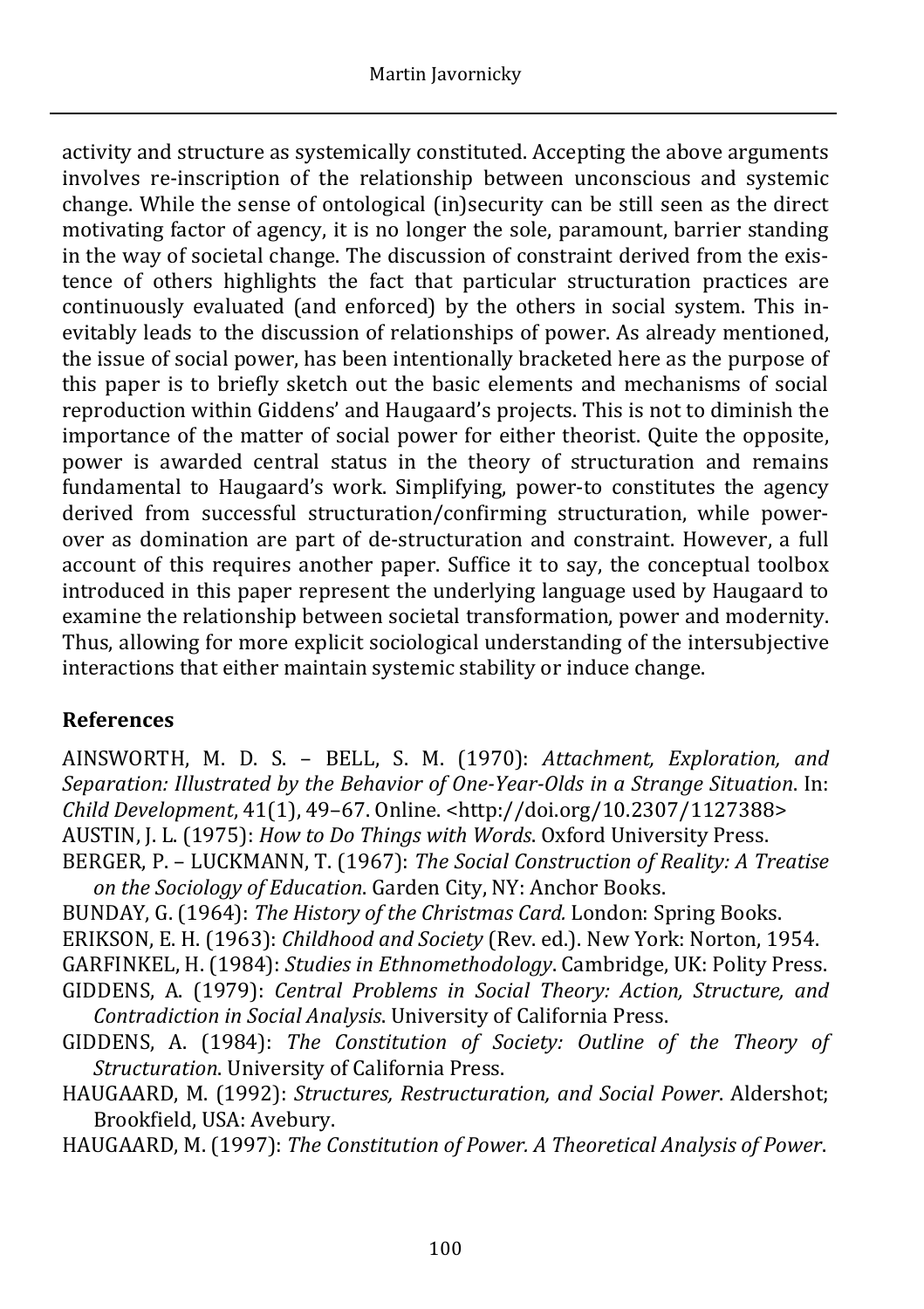activity and structure as systemically constituted. Accepting the above arguments involves re-inscription of the relationship between unconscious and systemic change. While the sense of ontological (in)security can be still seen as the direct motivating factor of agency, it is no longer the sole, paramount, barrier standing in the way of societal change. The discussion of constraint derived from the existence of others highlights the fact that particular structuration practices are continuously evaluated (and enforced) by the others in social system. This inevitably leads to the discussion of relationships of power. As already mentioned, the issue of social power, has been intentionally bracketed here as the purpose of this paper is to briefly sketch out the basic elements and mechanisms of social reproduction within Giddens' and Haugaard's projects. This is not to diminish the importance of the matter of social power for either theorist. Quite the opposite, power is awarded central status in the theory of structuration and remains fundamental to Haugaard's work. Simplifying, power-to constitutes the agency derived from successful structuration/confirming structuration, while powerover as domination are part of de-structuration and constraint. However, a full account of this requires another paper. Suffice it to say, the conceptual toolbox introduced in this paper represent the underlying language used by Haugaard to examine the relationship between societal transformation, power and modernity. Thus, allowing for more explicit sociological understanding of the intersubjective interactions that either maintain systemic stability or induce change.

# **References**

AINSWORTH, M. D. S. – BELL, S. M. (1970): *Attachment, Exploration, and Separation: Illustrated by the Behavior of One-Year-Olds in a Strange Situation*. In: *Child Development*, 41(1), 49–67. Online. <http://doi.org/10.2307/1127388>

AUSTIN, J. L. (1975): *How to Do Things with Words*. Oxford University Press.

BERGER, P. – LUCKMANN, T. (1967): *The Social Construction of Reality: A Treatise on the Sociology of Education*. Garden City, NY: Anchor Books.

BUNDAY, G. (1964): *The History of the Christmas Card.* London: Spring Books.

ERIKSON, E. H. (1963): *Childhood and Society* (Rev. ed.). New York: Norton, 1954.

GARFINKEL, H. (1984): *Studies in Ethnomethodology*. Cambridge, UK: Polity Press.

GIDDENS, A. (1979): *Central Problems in Social Theory: Action, Structure, and Contradiction in Social Analysis*. University of California Press.

GIDDENS, A. (1984): *The Constitution of Society: Outline of the Theory of Structuration*. University of California Press.

HAUGAARD, M. (1992): *Structures, Restructuration, and Social Power*. Aldershot; Brookfield, USA: Avebury.

HAUGAARD, M. (1997): *The Constitution of Power. A Theoretical Analysis of Power*.